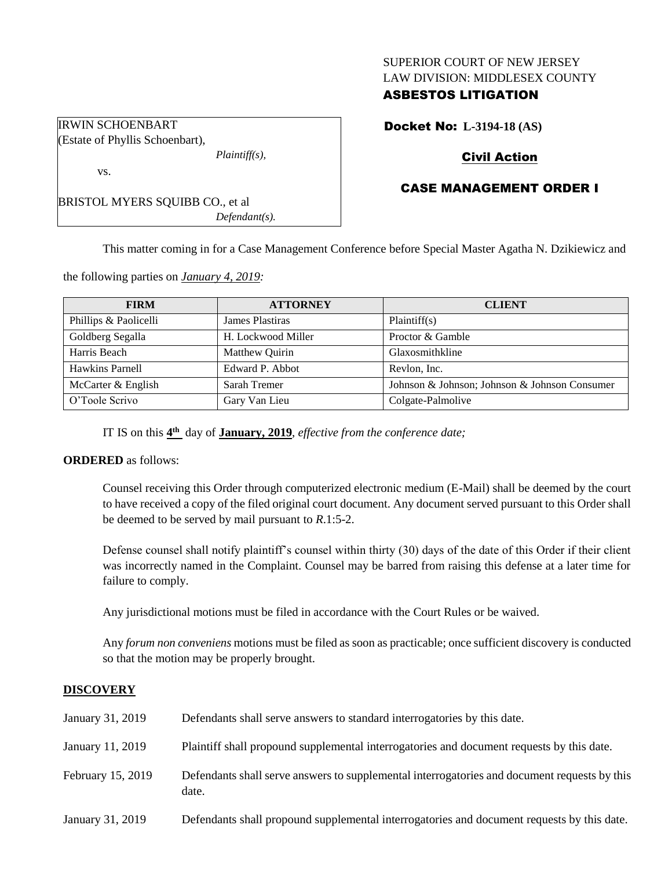### SUPERIOR COURT OF NEW JERSEY LAW DIVISION: MIDDLESEX COUNTY

## ASBESTOS LITIGATION

Docket No: **L-3194-18 (AS)**

# Civil Action

# CASE MANAGEMENT ORDER I

BRISTOL MYERS SQUIBB CO., et al *Defendant(s).*

*Plaintiff(s),*

IRWIN SCHOENBART Estate of Phyllis Schoenbart),

vs.

This matter coming in for a Case Management Conference before Special Master Agatha N. Dzikiewicz and

the following parties on *January 4, 2019:*

| <b>FIRM</b>           | <b>ATTORNEY</b>    | <b>CLIENT</b>                                 |
|-----------------------|--------------------|-----------------------------------------------|
| Phillips & Paolicelli | James Plastiras    | Plaintiff(s)                                  |
| Goldberg Segalla      | H. Lockwood Miller | Proctor & Gamble                              |
| Harris Beach          | Matthew Quirin     | Glaxosmithkline                               |
| Hawkins Parnell       | Edward P. Abbot    | Revlon. Inc.                                  |
| McCarter & English    | Sarah Tremer       | Johnson & Johnson; Johnson & Johnson Consumer |
| O'Toole Scrivo        | Gary Van Lieu      | Colgate-Palmolive                             |

IT IS on this  $4^{\text{th}}$  day of **January, 2019**, *effective from the conference date*;

### **ORDERED** as follows:

Counsel receiving this Order through computerized electronic medium (E-Mail) shall be deemed by the court to have received a copy of the filed original court document. Any document served pursuant to this Order shall be deemed to be served by mail pursuant to *R*.1:5-2.

Defense counsel shall notify plaintiff's counsel within thirty (30) days of the date of this Order if their client was incorrectly named in the Complaint. Counsel may be barred from raising this defense at a later time for failure to comply.

Any jurisdictional motions must be filed in accordance with the Court Rules or be waived.

Any *forum non conveniens* motions must be filed as soon as practicable; once sufficient discovery is conducted so that the motion may be properly brought.

### **DISCOVERY**

| January 31, 2019  | Defendants shall serve answers to standard interrogatories by this date.                              |
|-------------------|-------------------------------------------------------------------------------------------------------|
| January 11, 2019  | Plaintiff shall propound supplemental interrogatories and document requests by this date.             |
| February 15, 2019 | Defendants shall serve answers to supplemental interrogatories and document requests by this<br>date. |
| January 31, 2019  | Defendants shall propound supplemental interrogatories and document requests by this date.            |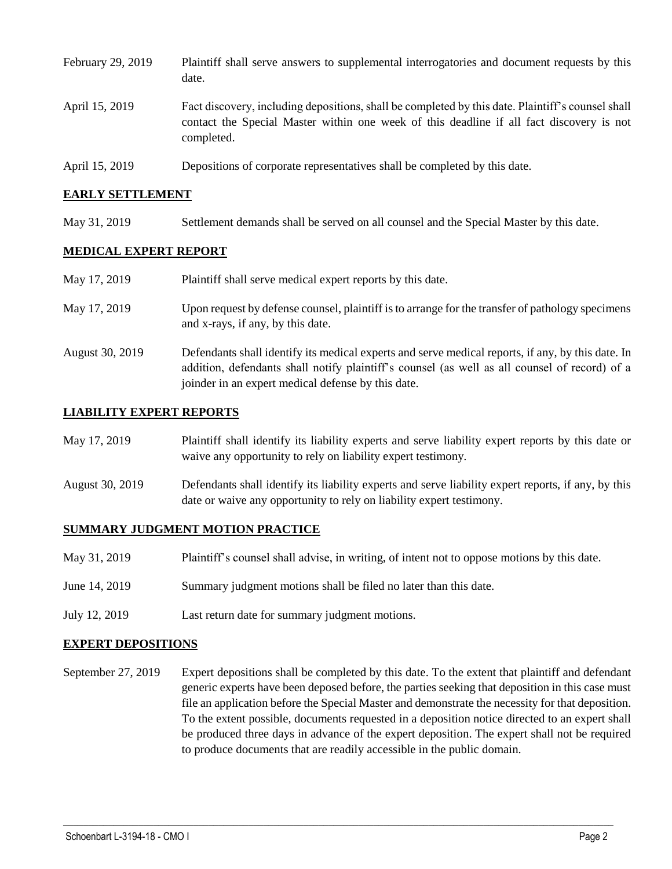| February 29, 2019 | Plaintiff shall serve answers to supplemental interrogatories and document requests by this<br>date.                                                                                                        |
|-------------------|-------------------------------------------------------------------------------------------------------------------------------------------------------------------------------------------------------------|
| April 15, 2019    | Fact discovery, including depositions, shall be completed by this date. Plaintiff's counsel shall<br>contact the Special Master within one week of this deadline if all fact discovery is not<br>completed. |
| April 15, 2019    | Depositions of corporate representatives shall be completed by this date.                                                                                                                                   |

### **EARLY SETTLEMENT**

May 31, 2019 Settlement demands shall be served on all counsel and the Special Master by this date.

### **MEDICAL EXPERT REPORT**

| May 17, 2019    | Plaintiff shall serve medical expert reports by this date.                                                                                                                                                                                               |
|-----------------|----------------------------------------------------------------------------------------------------------------------------------------------------------------------------------------------------------------------------------------------------------|
| May 17, 2019    | Upon request by defense counsel, plaintiff is to arrange for the transfer of pathology specimens<br>and x-rays, if any, by this date.                                                                                                                    |
| August 30, 2019 | Defendants shall identify its medical experts and serve medical reports, if any, by this date. In<br>addition, defendants shall notify plaintiff's counsel (as well as all counsel of record) of a<br>joinder in an expert medical defense by this date. |

### **LIABILITY EXPERT REPORTS**

| May 17, 2019    | Plaintiff shall identify its liability experts and serve liability expert reports by this date or<br>waive any opportunity to rely on liability expert testimony.           |
|-----------------|-----------------------------------------------------------------------------------------------------------------------------------------------------------------------------|
| August 30, 2019 | Defendants shall identify its liability experts and serve liability expert reports, if any, by this<br>date or waive any opportunity to rely on liability expert testimony. |

#### **SUMMARY JUDGMENT MOTION PRACTICE**

- May 31, 2019 Plaintiff's counsel shall advise, in writing, of intent not to oppose motions by this date.
- June 14, 2019 Summary judgment motions shall be filed no later than this date.
- July 12, 2019 Last return date for summary judgment motions.

#### **EXPERT DEPOSITIONS**

September 27, 2019 Expert depositions shall be completed by this date. To the extent that plaintiff and defendant generic experts have been deposed before, the parties seeking that deposition in this case must file an application before the Special Master and demonstrate the necessity for that deposition. To the extent possible, documents requested in a deposition notice directed to an expert shall be produced three days in advance of the expert deposition. The expert shall not be required to produce documents that are readily accessible in the public domain.

 $\_$  ,  $\_$  ,  $\_$  ,  $\_$  ,  $\_$  ,  $\_$  ,  $\_$  ,  $\_$  ,  $\_$  ,  $\_$  ,  $\_$  ,  $\_$  ,  $\_$  ,  $\_$  ,  $\_$  ,  $\_$  ,  $\_$  ,  $\_$  ,  $\_$  ,  $\_$  ,  $\_$  ,  $\_$  ,  $\_$  ,  $\_$  ,  $\_$  ,  $\_$  ,  $\_$  ,  $\_$  ,  $\_$  ,  $\_$  ,  $\_$  ,  $\_$  ,  $\_$  ,  $\_$  ,  $\_$  ,  $\_$  ,  $\_$  ,